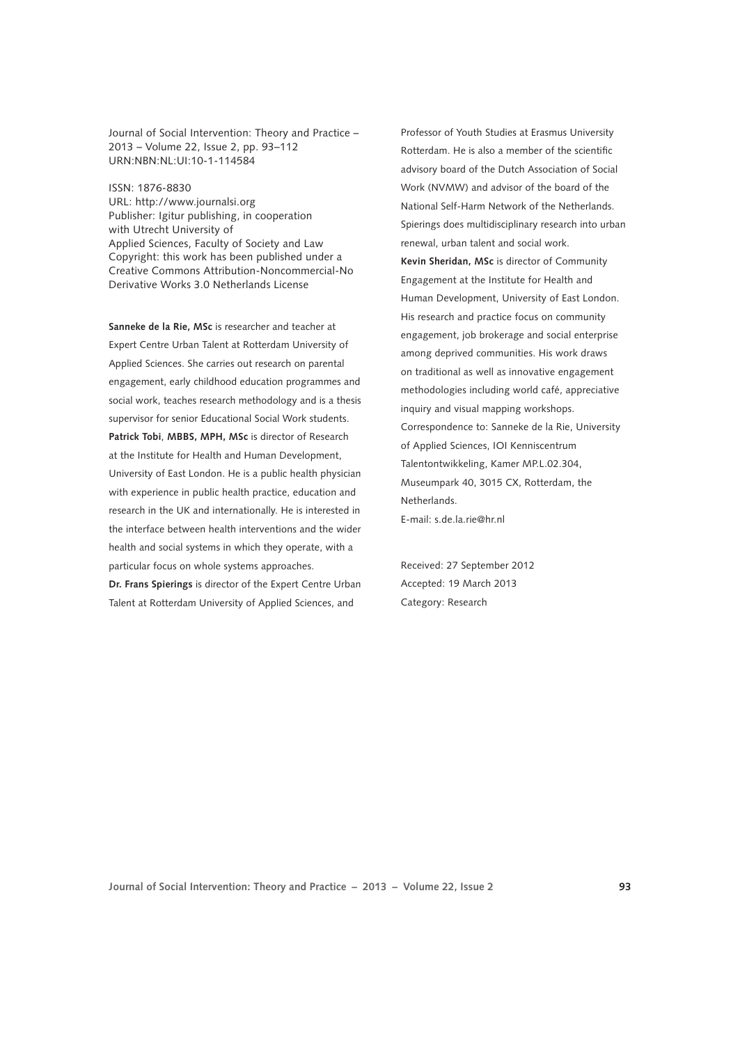Journal of Social Intervention: Theory and Practice – 2013 – Volume 22, Issue 2, pp. 93–112 URN:NBN:NL:UI:10-1-114584

ISSN: 1876-8830 [URL: http://www.journalsi.org](http://www.journalsi.org)

Publisher: Igitur publishing, in cooperation with Utrecht University of Applied Sciences, Faculty of Society and Law Copyright: this work has been published under a Creative Commons Attribution-Noncommercial-No Derivative Works 3.0 Netherlands License

**Sanneke de la Rie, MSc** is researcher and teacher at Expert Centre Urban Talent at Rotterdam University of Applied Sciences. She carries out research on parental engagement, early childhood education programmes and social work, teaches research methodology and is a thesis supervisor for senior Educational Social Work students. **Patrick Tobi**, **MBBS, MPH, MSc** is director of Research at the Institute for Health and Human Development, University of East London. He is a public health physician with experience in public health practice, education and research in the UK and internationally. He is interested in the interface between health interventions and the wider health and social systems in which they operate, with a particular focus on whole systems approaches.

**Dr. Frans Spierings** is director of the Expert Centre Urban Talent at Rotterdam University of Applied Sciences, and

Professor of Youth Studies at Erasmus University Rotterdam. He is also a member of the scientific advisory board of the Dutch Association of Social Work (NVMW) and advisor of the board of the National Self-Harm Network of the Netherlands. Spierings does multidisciplinary research into urban renewal, urban talent and social work. **Kevin Sheridan, MSc** is director of Community Engagement at the Institute for Health and Human Development, University of East London. His research and practice focus on community engagement, job brokerage and social enterprise among deprived communities. His work draws on traditional as well as innovative engagement methodologies including world café, appreciative inquiry and visual mapping workshops. Correspondence to: Sanneke de la Rie, University of Applied Sciences, IOI Kenniscentrum Talentontwikkeling, Kamer MP.L.02.304, Museumpark 40, 3015 CX, Rotterdam, the Netherlands.

E-mail: s.de.la.rie@hr.nl

Received: 27 September 2012 Accepted: 19 March 2013 Category: Research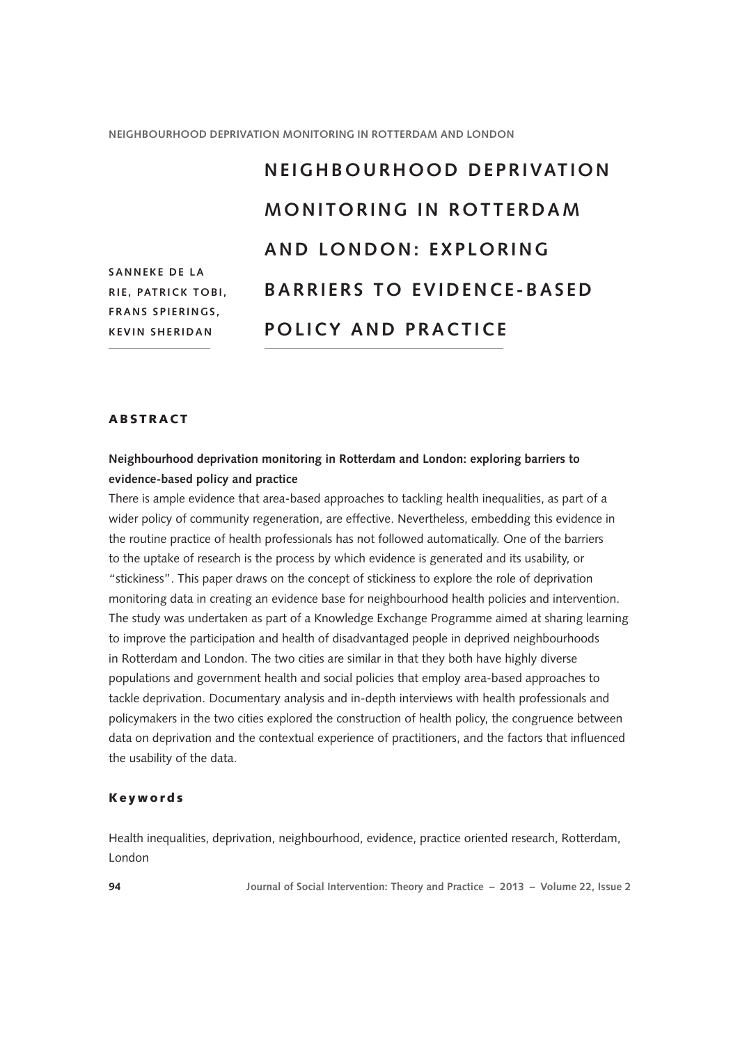# **S a n n eke de la Ri e , Patrick T o bi, Fra ns S pi erin gs , K evin Sherida n n e ighb o urh o o d de privati o n mo nit o rin g in R o tt erdam a nd L o nd o n : e xpl o rin g barriers to evidence-based POLICY AND PRACTICE**

# **ABSTRACT**

# **Neighbourhood deprivation monitoring in Rotterdam and London: exploring barriers to evidence-based policy and practice**

There is ample evidence that area-based approaches to tackling health inequalities, as part of a wider policy of community regeneration, are effective. Nevertheless, embedding this evidence in the routine practice of health professionals has not followed automatically. One of the barriers to the uptake of research is the process by which evidence is generated and its usability, or "stickiness". This paper draws on the concept of stickiness to explore the role of deprivation monitoring data in creating an evidence base for neighbourhood health policies and intervention. The study was undertaken as part of a Knowledge Exchange Programme aimed at sharing learning to improve the participation and health of disadvantaged people in deprived neighbourhoods in Rotterdam and London. The two cities are similar in that they both have highly diverse populations and government health and social policies that employ area-based approaches to tackle deprivation. Documentary analysis and in-depth interviews with health professionals and policymakers in the two cities explored the construction of health policy, the congruence between data on deprivation and the contextual experience of practitioners, and the factors that influenced the usability of the data.

#### Keywords

Health inequalities, deprivation, neighbourhood, evidence, practice oriented research, Rotterdam, London

**94 Journal of Social Intervention: Theory and Practice – 2013 – Volume 22, Issue 2**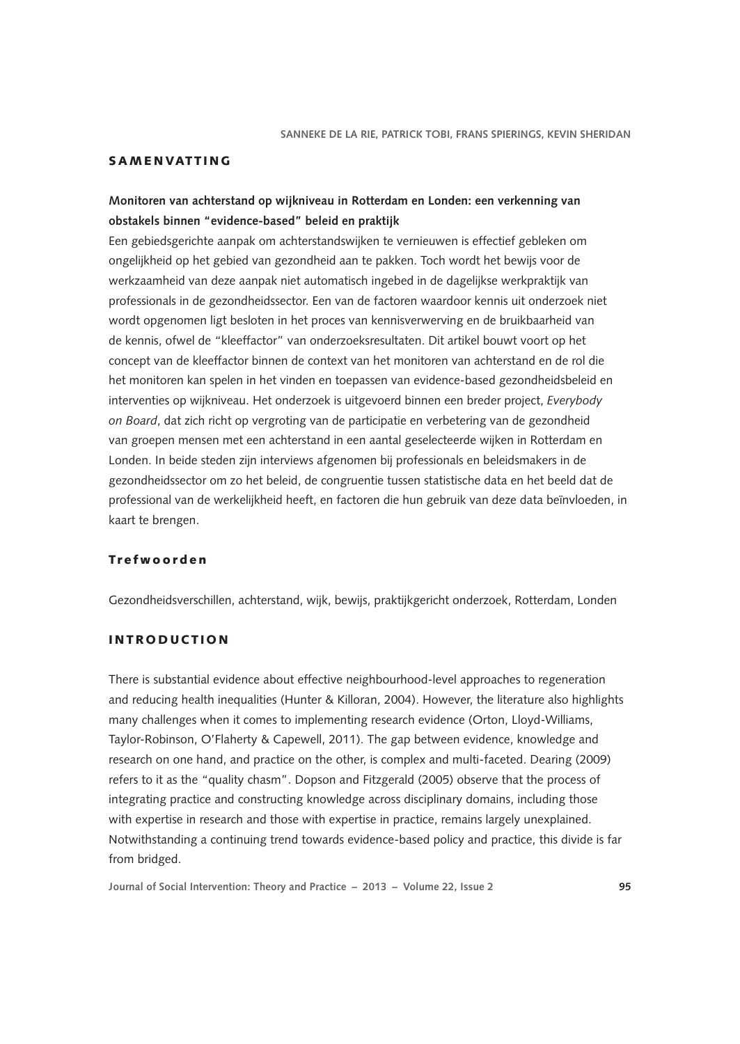# **SAMENVATTING**

# **Monitoren van achterstand op wijkniveau in Rotterdam en Londen: een verkenning van obstakels binnen "evidence-based" beleid en praktijk**

Een gebiedsgerichte aanpak om achterstandswijken te vernieuwen is effectief gebleken om ongelijkheid op het gebied van gezondheid aan te pakken. Toch wordt het bewijs voor de werkzaamheid van deze aanpak niet automatisch ingebed in de dagelijkse werkpraktijk van professionals in de gezondheidssector. Een van de factoren waardoor kennis uit onderzoek niet wordt opgenomen ligt besloten in het proces van kennisverwerving en de bruikbaarheid van de kennis, ofwel de "kleeffactor" van onderzoeksresultaten. Dit artikel bouwt voort op het concept van de kleeffactor binnen de context van het monitoren van achterstand en de rol die het monitoren kan spelen in het vinden en toepassen van evidence-based gezondheidsbeleid en interventies op wijkniveau. Het onderzoek is uitgevoerd binnen een breder project, *Everybody on Board*, dat zich richt op vergroting van de participatie en verbetering van de gezondheid van groepen mensen met een achterstand in een aantal geselecteerde wijken in Rotterdam en Londen. In beide steden zijn interviews afgenomen bij professionals en beleidsmakers in de gezondheidssector om zo het beleid, de congruentie tussen statistische data en het beeld dat de professional van de werkelijkheid heeft, en factoren die hun gebruik van deze data beïnvloeden, in kaart te brengen.

# Trefwoorden

Gezondheidsverschillen, achterstand, wijk, bewijs, praktijkgericht onderzoek, Rotterdam, Londen

# **INTRODUCTION**

There is substantial evidence about effective neighbourhood-level approaches to regeneration and reducing health inequalities (Hunter & Killoran, 2004). However, the literature also highlights many challenges when it comes to implementing research evidence (Orton, Lloyd-Williams, Taylor-Robinson, O'Flaherty & Capewell, 2011). The gap between evidence, knowledge and research on one hand, and practice on the other, is complex and multi-faceted. Dearing (2009) refers to it as the "quality chasm". Dopson and Fitzgerald (2005) observe that the process of integrating practice and constructing knowledge across disciplinary domains, including those with expertise in research and those with expertise in practice, remains largely unexplained. Notwithstanding a continuing trend towards evidence-based policy and practice, this divide is far from bridged.

**Journal of Social Intervention: Theory and Practice – 2013 – Volume 22, Issue 2 95**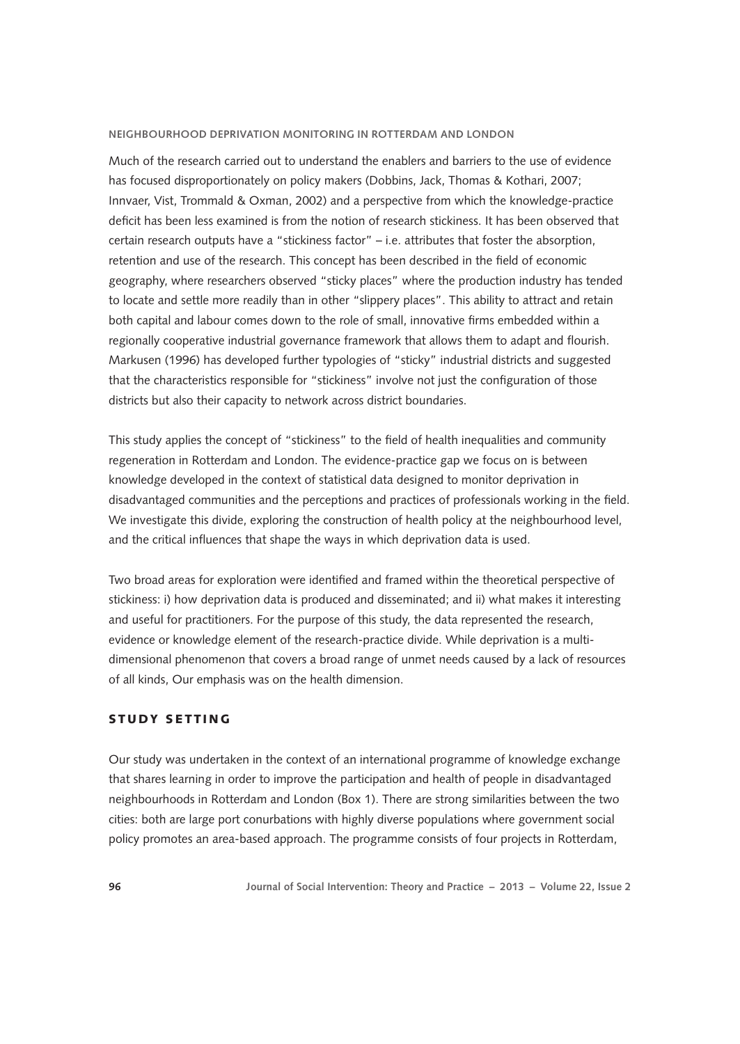Much of the research carried out to understand the enablers and barriers to the use of evidence has focused disproportionately on policy makers (Dobbins, Jack, Thomas & Kothari, 2007; Innvaer, Vist, Trommald & Oxman, 2002) and a perspective from which the knowledge-practice deficit has been less examined is from the notion of research stickiness. It has been observed that certain research outputs have a "stickiness factor" – i.e. attributes that foster the absorption, retention and use of the research. This concept has been described in the field of economic geography, where researchers observed "sticky places" where the production industry has tended to locate and settle more readily than in other "slippery places". This ability to attract and retain both capital and labour comes down to the role of small, innovative firms embedded within a regionally cooperative industrial governance framework that allows them to adapt and flourish. Markusen (1996) has developed further typologies of "sticky" industrial districts and suggested that the characteristics responsible for "stickiness" involve not just the configuration of those districts but also their capacity to network across district boundaries.

This study applies the concept of "stickiness" to the field of health inequalities and community regeneration in Rotterdam and London. The evidence-practice gap we focus on is between knowledge developed in the context of statistical data designed to monitor deprivation in disadvantaged communities and the perceptions and practices of professionals working in the field. We investigate this divide, exploring the construction of health policy at the neighbourhood level, and the critical influences that shape the ways in which deprivation data is used.

Two broad areas for exploration were identified and framed within the theoretical perspective of stickiness: i) how deprivation data is produced and disseminated; and ii) what makes it interesting and useful for practitioners. For the purpose of this study, the data represented the research, evidence or knowledge element of the research-practice divide. While deprivation is a multidimensional phenomenon that covers a broad range of unmet needs caused by a lack of resources of all kinds, Our emphasis was on the health dimension.

# STUDY SETTING

Our study was undertaken in the context of an international programme of knowledge exchange that shares learning in order to improve the participation and health of people in disadvantaged neighbourhoods in Rotterdam and London (Box 1). There are strong similarities between the two cities: both are large port conurbations with highly diverse populations where government social policy promotes an area-based approach. The programme consists of four projects in Rotterdam,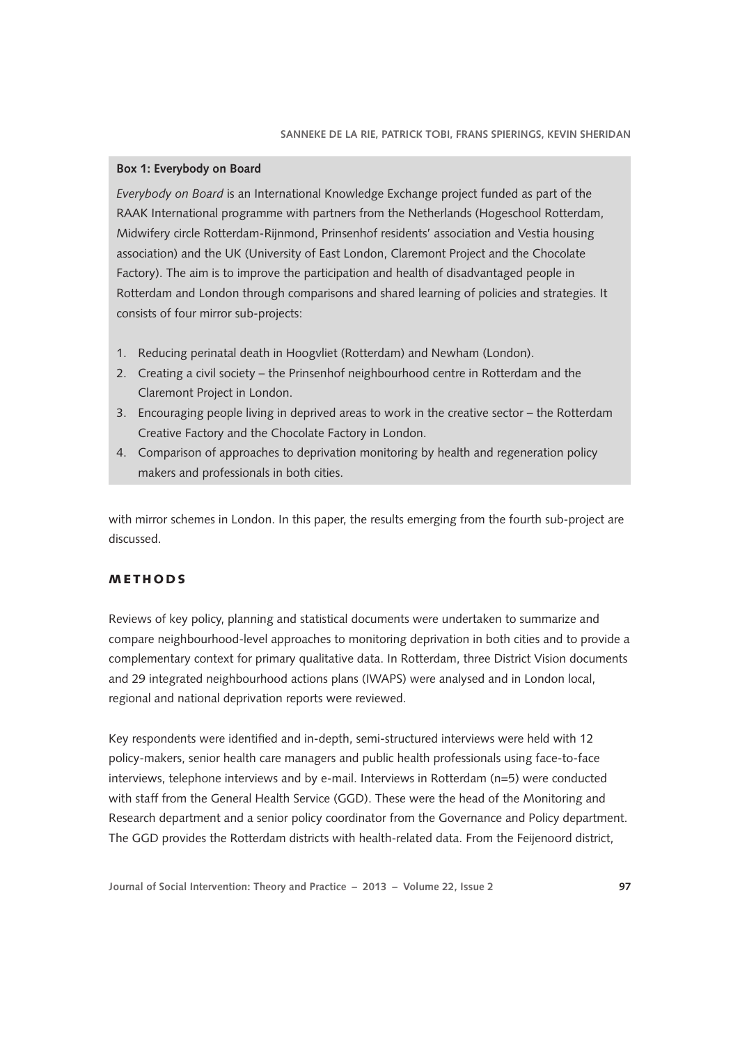### **Box 1: Everybody on Board**

*Everybody on Board* is an International Knowledge Exchange project funded as part of the RAAK International programme with partners from the Netherlands (Hogeschool Rotterdam, Midwifery circle Rotterdam-Rijnmond, Prinsenhof residents' association and Vestia housing association) and the UK (University of East London, Claremont Project and the Chocolate Factory). The aim is to improve the participation and health of disadvantaged people in Rotterdam and London through comparisons and shared learning of policies and strategies. It consists of four mirror sub-projects:

- 1. Reducing perinatal death in Hoogvliet (Rotterdam) and Newham (London).
- 2. Creating a civil society the Prinsenhof neighbourhood centre in Rotterdam and the Claremont Project in London.
- 3. Encouraging people living in deprived areas to work in the creative sector the Rotterdam Creative Factory and the Chocolate Factory in London.
- 4. Comparison of approaches to deprivation monitoring by health and regeneration policy makers and professionals in both cities.

with mirror schemes in London. In this paper, the results emerging from the fourth sub-project are discussed.

# **METHODS**

Reviews of key policy, planning and statistical documents were undertaken to summarize and compare neighbourhood-level approaches to monitoring deprivation in both cities and to provide a complementary context for primary qualitative data. In Rotterdam, three District Vision documents and 29 integrated neighbourhood actions plans (IWAPS) were analysed and in London local, regional and national deprivation reports were reviewed.

Key respondents were identified and in-depth, semi-structured interviews were held with 12 policy-makers, senior health care managers and public health professionals using face-to-face interviews, telephone interviews and by e-mail. Interviews in Rotterdam (n=5) were conducted with staff from the General Health Service (GGD). These were the head of the Monitoring and Research department and a senior policy coordinator from the Governance and Policy department. The GGD provides the Rotterdam districts with health-related data. From the Feijenoord district,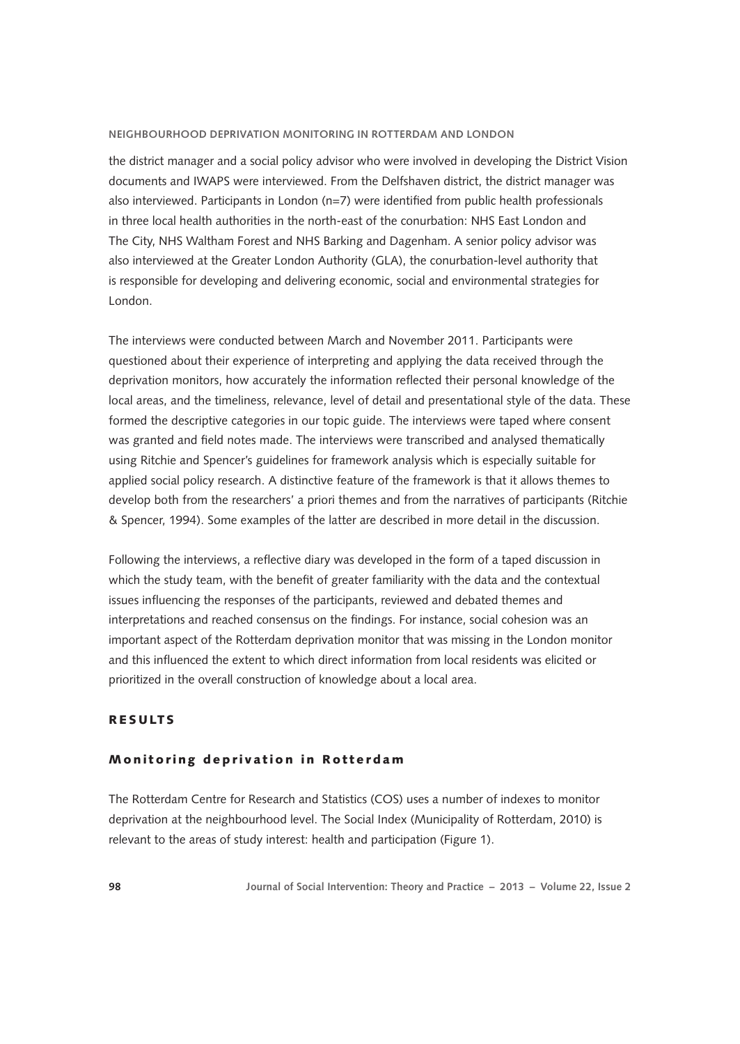the district manager and a social policy advisor who were involved in developing the District Vision documents and IWAPS were interviewed. From the Delfshaven district, the district manager was also interviewed. Participants in London (n=7) were identified from public health professionals in three local health authorities in the north-east of the conurbation: NHS East London and The City, NHS Waltham Forest and NHS Barking and Dagenham. A senior policy advisor was also interviewed at the Greater London Authority (GLA), the conurbation-level authority that is responsible for developing and delivering economic, social and environmental strategies for London.

The interviews were conducted between March and November 2011. Participants were questioned about their experience of interpreting and applying the data received through the deprivation monitors, how accurately the information reflected their personal knowledge of the local areas, and the timeliness, relevance, level of detail and presentational style of the data. These formed the descriptive categories in our topic guide. The interviews were taped where consent was granted and field notes made. The interviews were transcribed and analysed thematically using Ritchie and Spencer's guidelines for framework analysis which is especially suitable for applied social policy research. A distinctive feature of the framework is that it allows themes to develop both from the researchers' a priori themes and from the narratives of participants (Ritchie & Spencer, 1994). Some examples of the latter are described in more detail in the discussion.

Following the interviews, a reflective diary was developed in the form of a taped discussion in which the study team, with the benefit of greater familiarity with the data and the contextual issues influencing the responses of the participants, reviewed and debated themes and interpretations and reached consensus on the findings. For instance, social cohesion was an important aspect of the Rotterdam deprivation monitor that was missing in the London monitor and this influenced the extent to which direct information from local residents was elicited or prioritized in the overall construction of knowledge about a local area.

## **RESULTS**

### Monitoring deprivation in Rotterdam

The Rotterdam Centre for Research and Statistics (COS) uses a number of indexes to monitor deprivation at the neighbourhood level. The Social Index (Municipality of Rotterdam, 2010) is relevant to the areas of study interest: health and participation (Figure 1).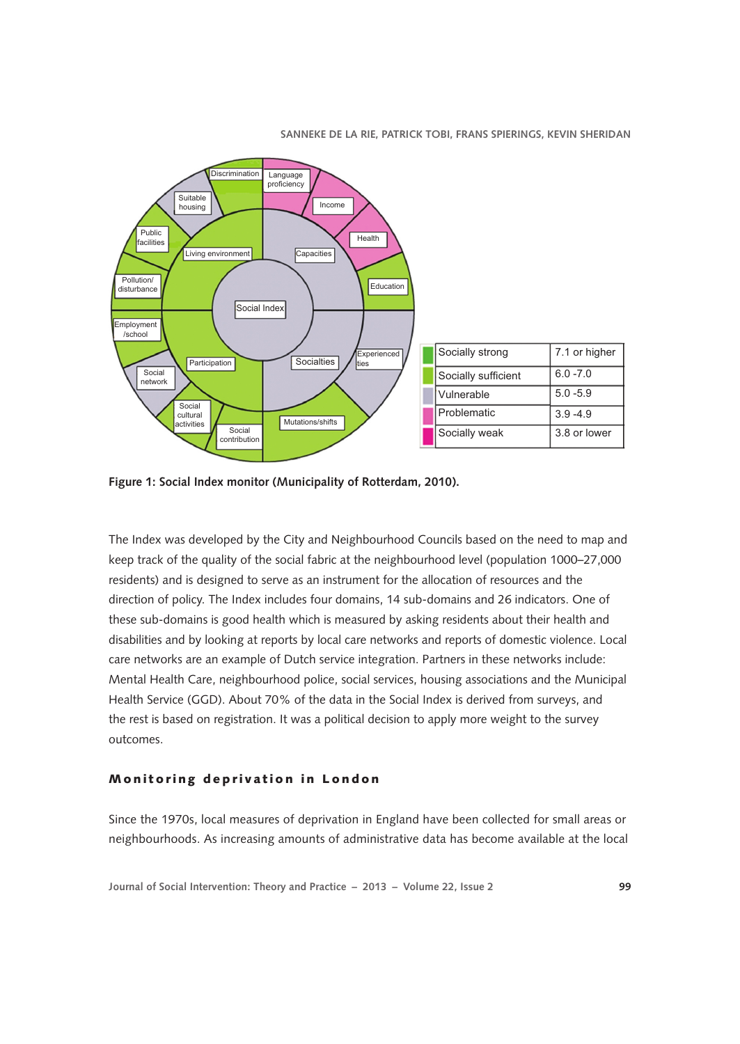

**Figure 1: Social Index monitor (Municipality of Rotterdam, 2010).**

The Index was developed by the City and Neighbourhood Councils based on the need to map and keep track of the quality of the social fabric at the neighbourhood level (population 1000–27,000 residents) and is designed to serve as an instrument for the allocation of resources and the direction of policy. The Index includes four domains, 14 sub-domains and 26 indicators. One of these sub-domains is good health which is measured by asking residents about their health and disabilities and by looking at reports by local care networks and reports of domestic violence. Local care networks are an example of Dutch service integration. Partners in these networks include: Mental Health Care, neighbourhood police, social services, housing associations and the Municipal Health Service (GGD). About 70% of the data in the Social Index is derived from surveys, and the rest is based on registration. It was a political decision to apply more weight to the survey outcomes.

#### Monitoring deprivation in London

Since the 1970s, local measures of deprivation in England have been collected for small areas or neighbourhoods. As increasing amounts of administrative data has become available at the local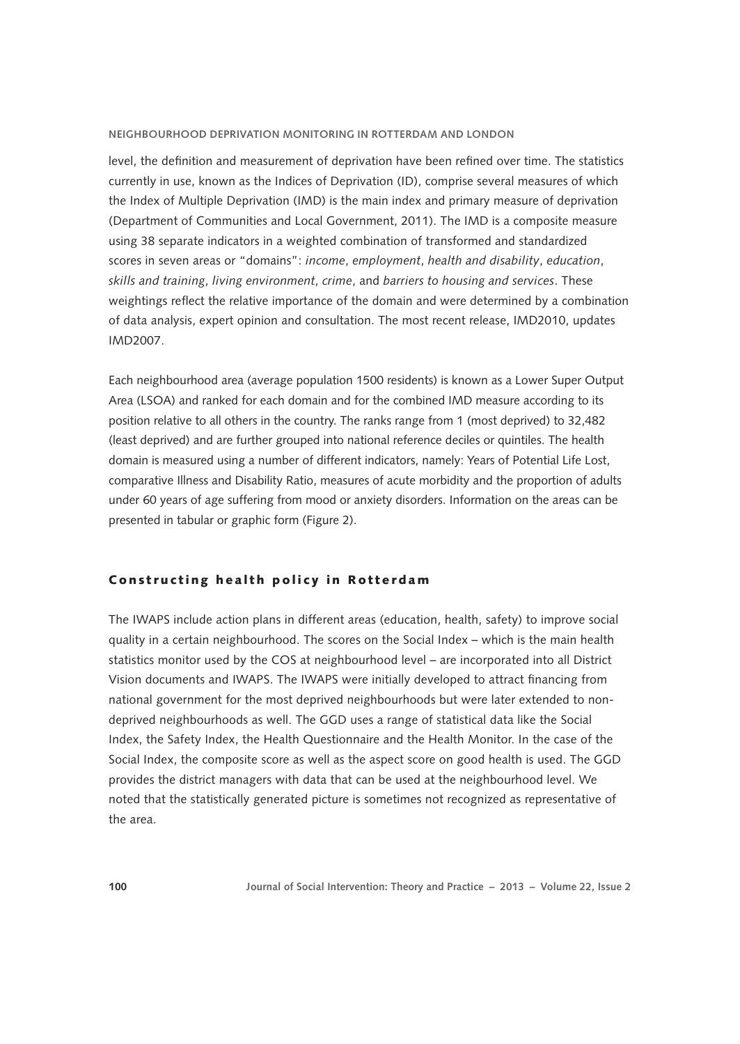level, the definition and measurement of deprivation have been refined over time. The statistics currently in use, known as the Indices of Deprivation (ID), comprise several measures of which the Index of Multiple Deprivation (IMD) is the main index and primary measure of deprivation (Department of Communities and Local Government, 2011). The IMD is a composite measure using 38 separate indicators in a weighted combination of transformed and standardized scores in seven areas or "domains": *income*, *employment*, *health and disability*, *education*, *skills and training*, *living environment*, *crime*, and *barriers to housing and services*. These weightings reflect the relative importance of the domain and were determined by a combination of data analysis, expert opinion and consultation. The most recent release, IMD2010, updates IMD2007.

Each neighbourhood area (average population 1500 residents) is known as a Lower Super Output Area (LSOA) and ranked for each domain and for the combined IMD measure according to its position relative to all others in the country. The ranks range from 1 (most deprived) to 32,482 (least deprived) and are further grouped into national reference deciles or quintiles. The health domain is measured using a number of different indicators, namely: Years of Potential Life Lost, comparative Illness and Disability Ratio, measures of acute morbidity and the proportion of adults under 60 years of age suffering from mood or anxiety disorders. Information on the areas can be presented in tabular or graphic form (Figure 2).

## Constructing health policy in Rotterdam

The IWAPS include action plans in different areas (education, health, safety) to improve social quality in a certain neighbourhood. The scores on the Social Index – which is the main health statistics monitor used by the COS at neighbourhood level – are incorporated into all District Vision documents and IWAPS. The IWAPS were initially developed to attract financing from national government for the most deprived neighbourhoods but were later extended to nondeprived neighbourhoods as well. The GGD uses a range of statistical data like the Social Index, the Safety Index, the Health Questionnaire and the Health Monitor. In the case of the Social Index, the composite score as well as the aspect score on good health is used. The GGD provides the district managers with data that can be used at the neighbourhood level. We noted that the statistically generated picture is sometimes not recognized as representative of the area.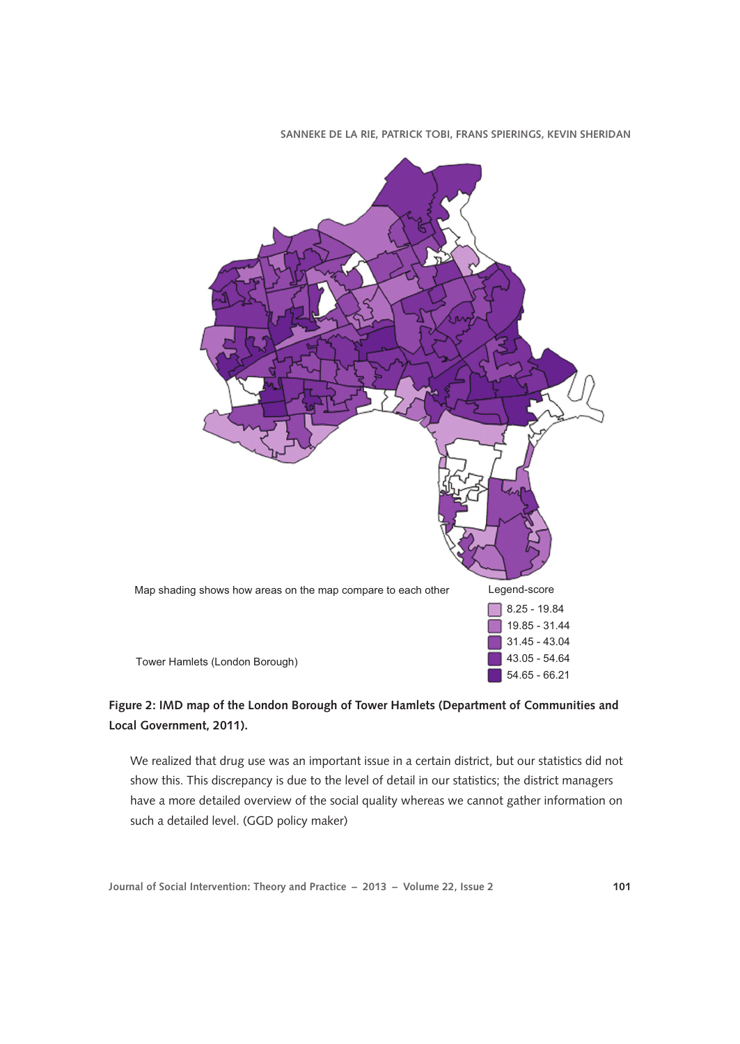

# **Figure 2: IMD map of the London Borough of Tower Hamlets (Department of Communities and Local Government, 2011).**

We realized that drug use was an important issue in a certain district, but our statistics did not show this. This discrepancy is due to the level of detail in our statistics; the district managers have a more detailed overview of the social quality whereas we cannot gather information on such a detailed level. (GGD policy maker)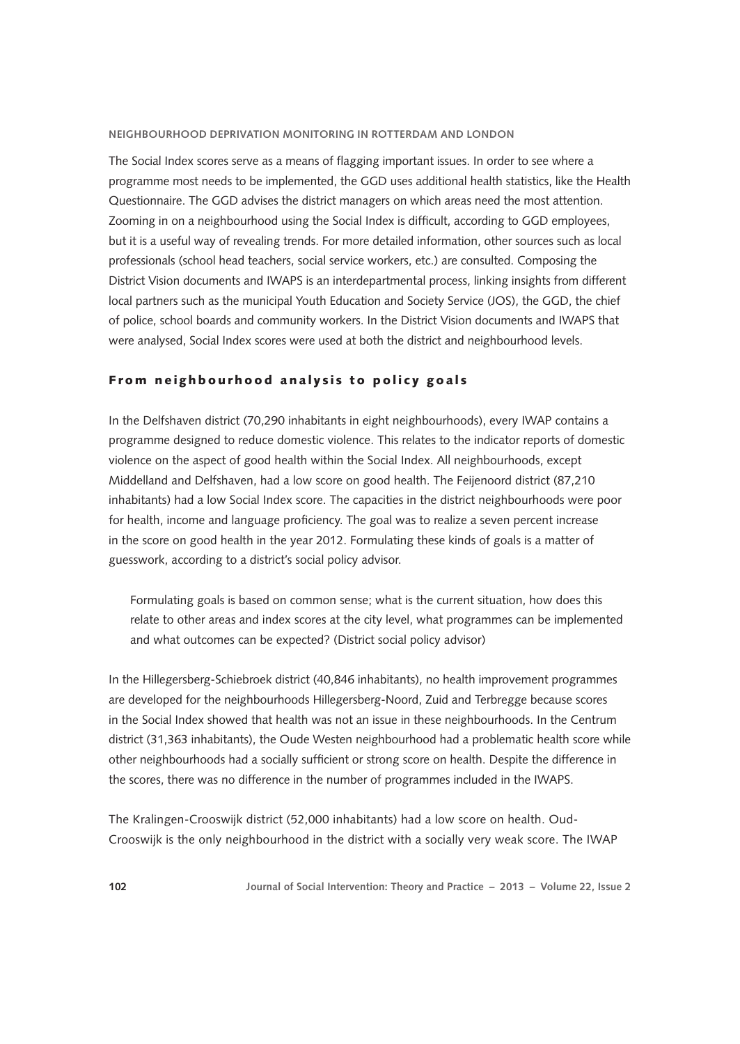The Social Index scores serve as a means of flagging important issues. In order to see where a programme most needs to be implemented, the GGD uses additional health statistics, like the Health Questionnaire. The GGD advises the district managers on which areas need the most attention. Zooming in on a neighbourhood using the Social Index is difficult, according to GGD employees, but it is a useful way of revealing trends. For more detailed information, other sources such as local professionals (school head teachers, social service workers, etc.) are consulted. Composing the District Vision documents and IWAPS is an interdepartmental process, linking insights from different local partners such as the municipal Youth Education and Society Service (JOS), the GGD, the chief of police, school boards and community workers. In the District Vision documents and IWAPS that were analysed, Social Index scores were used at both the district and neighbourhood levels.

### From neighbourhood analysis to policy goals

In the Delfshaven district (70,290 inhabitants in eight neighbourhoods), every IWAP contains a programme designed to reduce domestic violence. This relates to the indicator reports of domestic violence on the aspect of good health within the Social Index. All neighbourhoods, except Middelland and Delfshaven, had a low score on good health. The Feijenoord district (87,210 inhabitants) had a low Social Index score. The capacities in the district neighbourhoods were poor for health, income and language proficiency. The goal was to realize a seven percent increase in the score on good health in the year 2012. Formulating these kinds of goals is a matter of guesswork, according to a district's social policy advisor.

Formulating goals is based on common sense; what is the current situation, how does this relate to other areas and index scores at the city level, what programmes can be implemented and what outcomes can be expected? (District social policy advisor)

In the Hillegersberg-Schiebroek district (40,846 inhabitants), no health improvement programmes are developed for the neighbourhoods Hillegersberg-Noord, Zuid and Terbregge because scores in the Social Index showed that health was not an issue in these neighbourhoods. In the Centrum district (31,363 inhabitants), the Oude Westen neighbourhood had a problematic health score while other neighbourhoods had a socially sufficient or strong score on health. Despite the difference in the scores, there was no difference in the number of programmes included in the IWAPS.

The Kralingen-Crooswijk district (52,000 inhabitants) had a low score on health. Oud-Crooswijk is the only neighbourhood in the district with a socially very weak score. The IWAP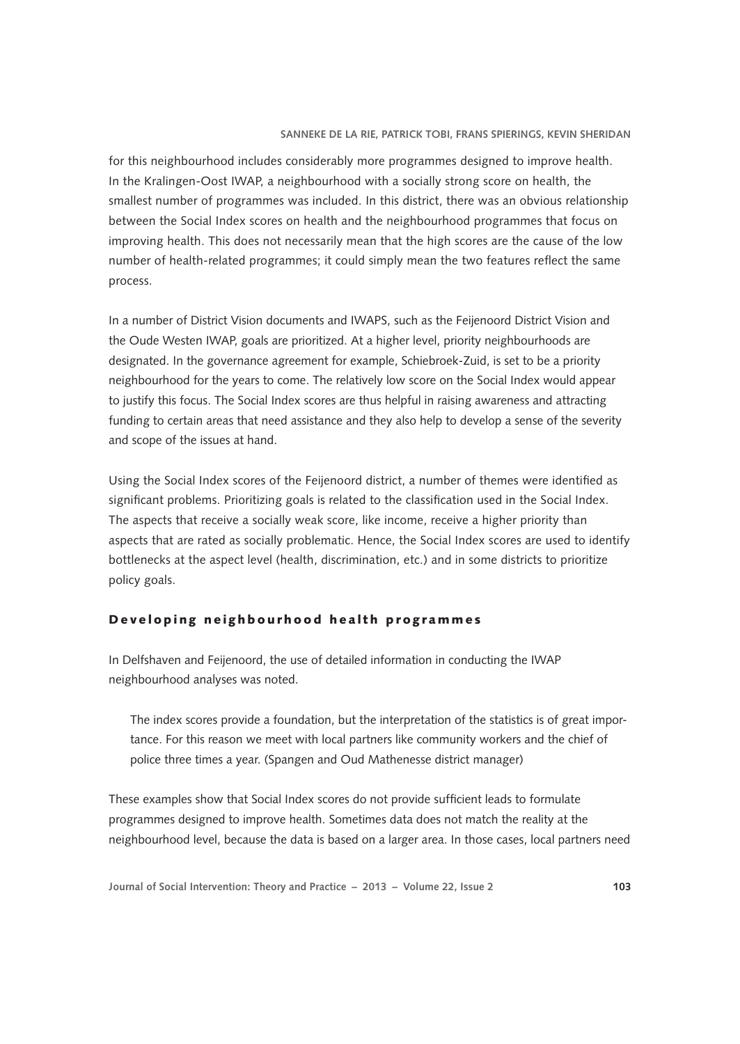for this neighbourhood includes considerably more programmes designed to improve health. In the Kralingen-Oost IWAP, a neighbourhood with a socially strong score on health, the smallest number of programmes was included. In this district, there was an obvious relationship between the Social Index scores on health and the neighbourhood programmes that focus on improving health. This does not necessarily mean that the high scores are the cause of the low number of health-related programmes; it could simply mean the two features reflect the same process.

In a number of District Vision documents and IWAPS, such as the Feijenoord District Vision and the Oude Westen IWAP, goals are prioritized. At a higher level, priority neighbourhoods are designated. In the governance agreement for example, Schiebroek-Zuid, is set to be a priority neighbourhood for the years to come. The relatively low score on the Social Index would appear to justify this focus. The Social Index scores are thus helpful in raising awareness and attracting funding to certain areas that need assistance and they also help to develop a sense of the severity and scope of the issues at hand.

Using the Social Index scores of the Feijenoord district, a number of themes were identified as significant problems. Prioritizing goals is related to the classification used in the Social Index. The aspects that receive a socially weak score, like income, receive a higher priority than aspects that are rated as socially problematic. Hence, the Social Index scores are used to identify bottlenecks at the aspect level (health, discrimination, etc.) and in some districts to prioritize policy goals.

## Developing neighbourhood health programmes

In Delfshaven and Feijenoord, the use of detailed information in conducting the IWAP neighbourhood analyses was noted.

The index scores provide a foundation, but the interpretation of the statistics is of great importance. For this reason we meet with local partners like community workers and the chief of police three times a year. (Spangen and Oud Mathenesse district manager)

These examples show that Social Index scores do not provide sufficient leads to formulate programmes designed to improve health. Sometimes data does not match the reality at the neighbourhood level, because the data is based on a larger area. In those cases, local partners need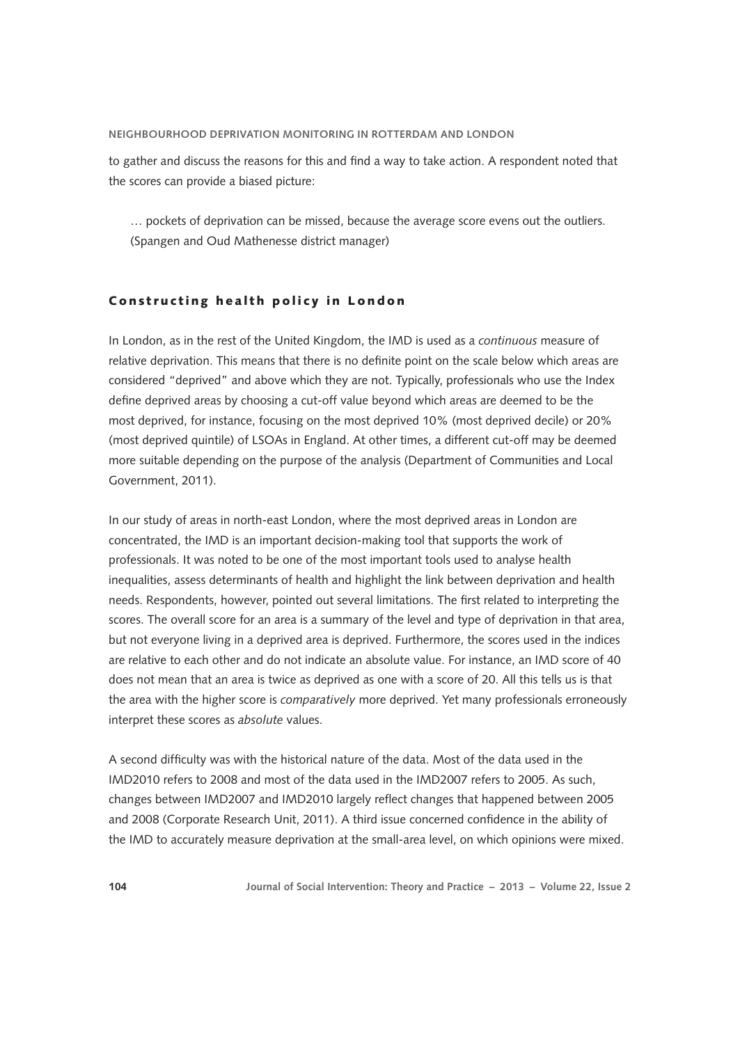to gather and discuss the reasons for this and find a way to take action. A respondent noted that the scores can provide a biased picture:

… pockets of deprivation can be missed, because the average score evens out the outliers. (Spangen and Oud Mathenesse district manager)

## Constructing health policy in London

In London, as in the rest of the United Kingdom, the IMD is used as a *continuous* measure of relative deprivation. This means that there is no definite point on the scale below which areas are considered "deprived" and above which they are not. Typically, professionals who use the Index define deprived areas by choosing a cut-off value beyond which areas are deemed to be the most deprived, for instance, focusing on the most deprived 10% (most deprived decile) or 20% (most deprived quintile) of LSOAs in England. At other times, a different cut-off may be deemed more suitable depending on the purpose of the analysis (Department of Communities and Local Government, 2011).

In our study of areas in north-east London, where the most deprived areas in London are concentrated, the IMD is an important decision-making tool that supports the work of professionals. It was noted to be one of the most important tools used to analyse health inequalities, assess determinants of health and highlight the link between deprivation and health needs. Respondents, however, pointed out several limitations. The first related to interpreting the scores. The overall score for an area is a summary of the level and type of deprivation in that area, but not everyone living in a deprived area is deprived. Furthermore, the scores used in the indices are relative to each other and do not indicate an absolute value. For instance, an IMD score of 40 does not mean that an area is twice as deprived as one with a score of 20. All this tells us is that the area with the higher score is *comparatively* more deprived. Yet many professionals erroneously interpret these scores as *absolute* values.

A second difficulty was with the historical nature of the data. Most of the data used in the IMD2010 refers to 2008 and most of the data used in the IMD2007 refers to 2005. As such, changes between IMD2007 and IMD2010 largely reflect changes that happened between 2005 and 2008 (Corporate Research Unit, 2011). A third issue concerned confidence in the ability of the IMD to accurately measure deprivation at the small-area level, on which opinions were mixed.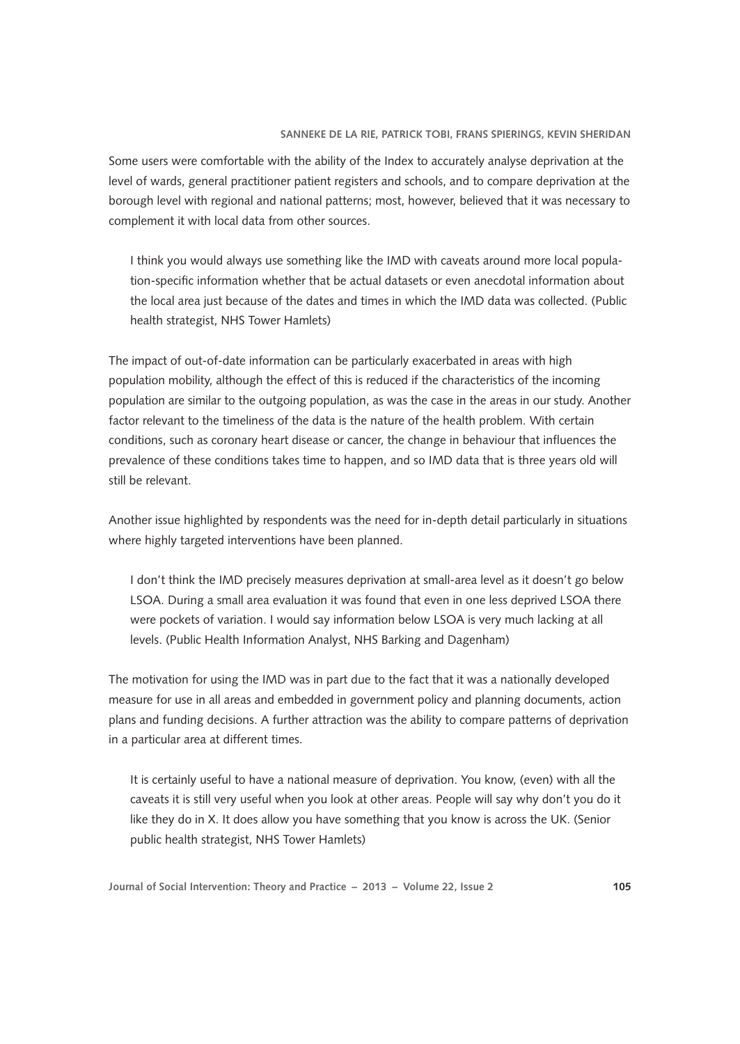Some users were comfortable with the ability of the Index to accurately analyse deprivation at the level of wards, general practitioner patient registers and schools, and to compare deprivation at the borough level with regional and national patterns; most, however, believed that it was necessary to complement it with local data from other sources.

I think you would always use something like the IMD with caveats around more local population-specific information whether that be actual datasets or even anecdotal information about the local area just because of the dates and times in which the IMD data was collected. (Public health strategist, NHS Tower Hamlets)

The impact of out-of-date information can be particularly exacerbated in areas with high population mobility, although the effect of this is reduced if the characteristics of the incoming population are similar to the outgoing population, as was the case in the areas in our study. Another factor relevant to the timeliness of the data is the nature of the health problem. With certain conditions, such as coronary heart disease or cancer, the change in behaviour that influences the prevalence of these conditions takes time to happen, and so IMD data that is three years old will still be relevant.

Another issue highlighted by respondents was the need for in-depth detail particularly in situations where highly targeted interventions have been planned.

I don't think the IMD precisely measures deprivation at small-area level as it doesn't go below LSOA. During a small area evaluation it was found that even in one less deprived LSOA there were pockets of variation. I would say information below LSOA is very much lacking at all levels. (Public Health Information Analyst, NHS Barking and Dagenham)

The motivation for using the IMD was in part due to the fact that it was a nationally developed measure for use in all areas and embedded in government policy and planning documents, action plans and funding decisions. A further attraction was the ability to compare patterns of deprivation in a particular area at different times.

It is certainly useful to have a national measure of deprivation. You know, (even) with all the caveats it is still very useful when you look at other areas. People will say why don't you do it like they do in X. It does allow you have something that you know is across the UK. (Senior public health strategist, NHS Tower Hamlets)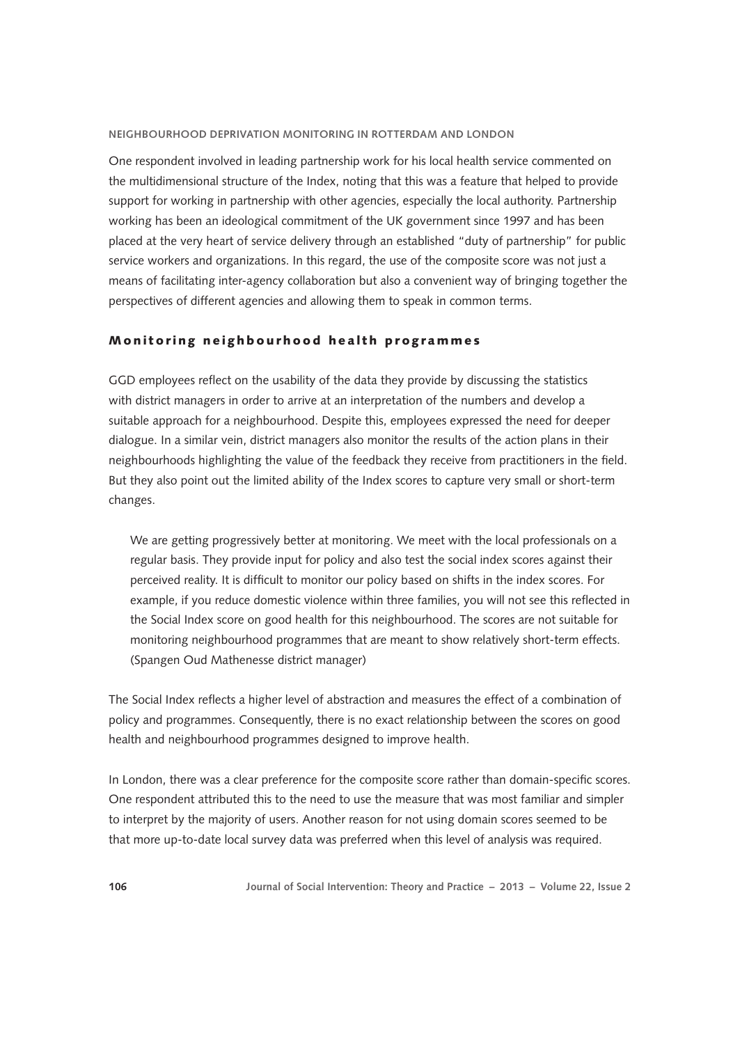One respondent involved in leading partnership work for his local health service commented on the multidimensional structure of the Index, noting that this was a feature that helped to provide support for working in partnership with other agencies, especially the local authority. Partnership working has been an ideological commitment of the UK government since 1997 and has been placed at the very heart of service delivery through an established "duty of partnership" for public service workers and organizations. In this regard, the use of the composite score was not just a means of facilitating inter-agency collaboration but also a convenient way of bringing together the perspectives of different agencies and allowing them to speak in common terms.

### Monitoring neighbourhood health programmes

GGD employees reflect on the usability of the data they provide by discussing the statistics with district managers in order to arrive at an interpretation of the numbers and develop a suitable approach for a neighbourhood. Despite this, employees expressed the need for deeper dialogue. In a similar vein, district managers also monitor the results of the action plans in their neighbourhoods highlighting the value of the feedback they receive from practitioners in the field. But they also point out the limited ability of the Index scores to capture very small or short-term changes.

We are getting progressively better at monitoring. We meet with the local professionals on a regular basis. They provide input for policy and also test the social index scores against their perceived reality. It is difficult to monitor our policy based on shifts in the index scores. For example, if you reduce domestic violence within three families, you will not see this reflected in the Social Index score on good health for this neighbourhood. The scores are not suitable for monitoring neighbourhood programmes that are meant to show relatively short-term effects. (Spangen Oud Mathenesse district manager)

The Social Index reflects a higher level of abstraction and measures the effect of a combination of policy and programmes. Consequently, there is no exact relationship between the scores on good health and neighbourhood programmes designed to improve health.

In London, there was a clear preference for the composite score rather than domain-specific scores. One respondent attributed this to the need to use the measure that was most familiar and simpler to interpret by the majority of users. Another reason for not using domain scores seemed to be that more up-to-date local survey data was preferred when this level of analysis was required.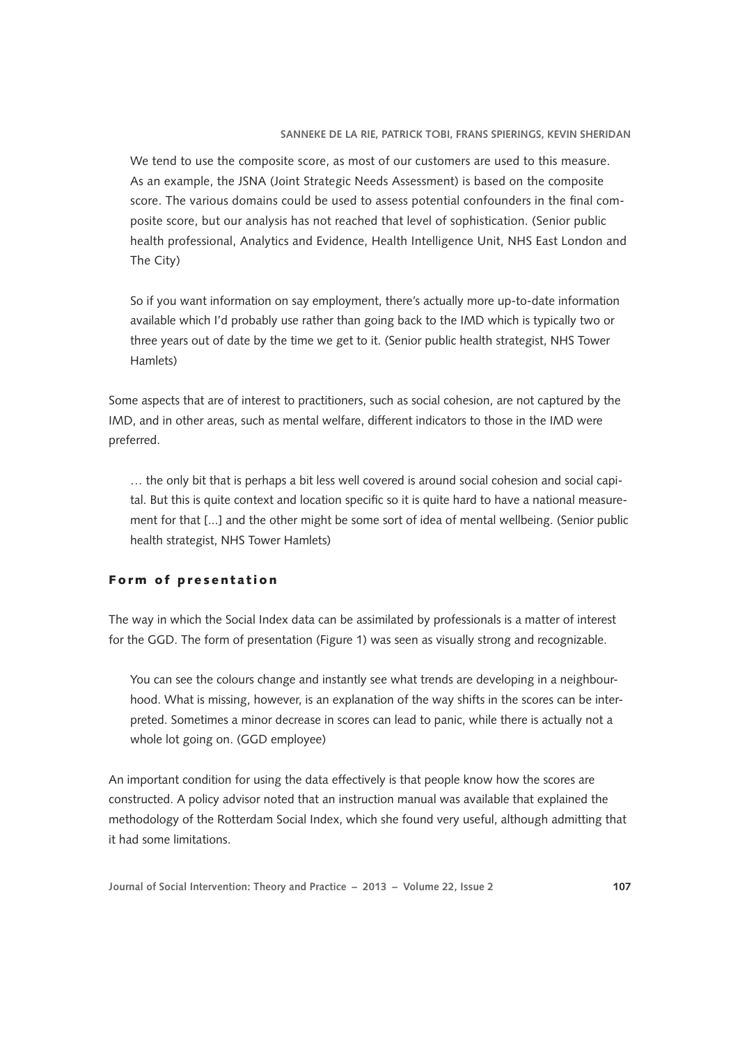We tend to use the composite score, as most of our customers are used to this measure. As an example, the JSNA (Joint Strategic Needs Assessment) is based on the composite score. The various domains could be used to assess potential confounders in the final composite score, but our analysis has not reached that level of sophistication. (Senior public health professional, Analytics and Evidence, Health Intelligence Unit, NHS East London and The City)

So if you want information on say employment, there's actually more up-to-date information available which I'd probably use rather than going back to the IMD which is typically two or three years out of date by the time we get to it. (Senior public health strategist, NHS Tower Hamlets)

Some aspects that are of interest to practitioners, such as social cohesion, are not captured by the IMD, and in other areas, such as mental welfare, different indicators to those in the IMD were preferred.

… the only bit that is perhaps a bit less well covered is around social cohesion and social capital. But this is quite context and location specific so it is quite hard to have a national measurement for that [...] and the other might be some sort of idea of mental wellbeing. (Senior public health strategist, NHS Tower Hamlets)

# Form of presentation

The way in which the Social Index data can be assimilated by professionals is a matter of interest for the GGD. The form of presentation (Figure 1) was seen as visually strong and recognizable.

You can see the colours change and instantly see what trends are developing in a neighbourhood. What is missing, however, is an explanation of the way shifts in the scores can be interpreted. Sometimes a minor decrease in scores can lead to panic, while there is actually not a whole lot going on. (GGD employee)

An important condition for using the data effectively is that people know how the scores are constructed. A policy advisor noted that an instruction manual was available that explained the methodology of the Rotterdam Social Index, which she found very useful, although admitting that it had some limitations.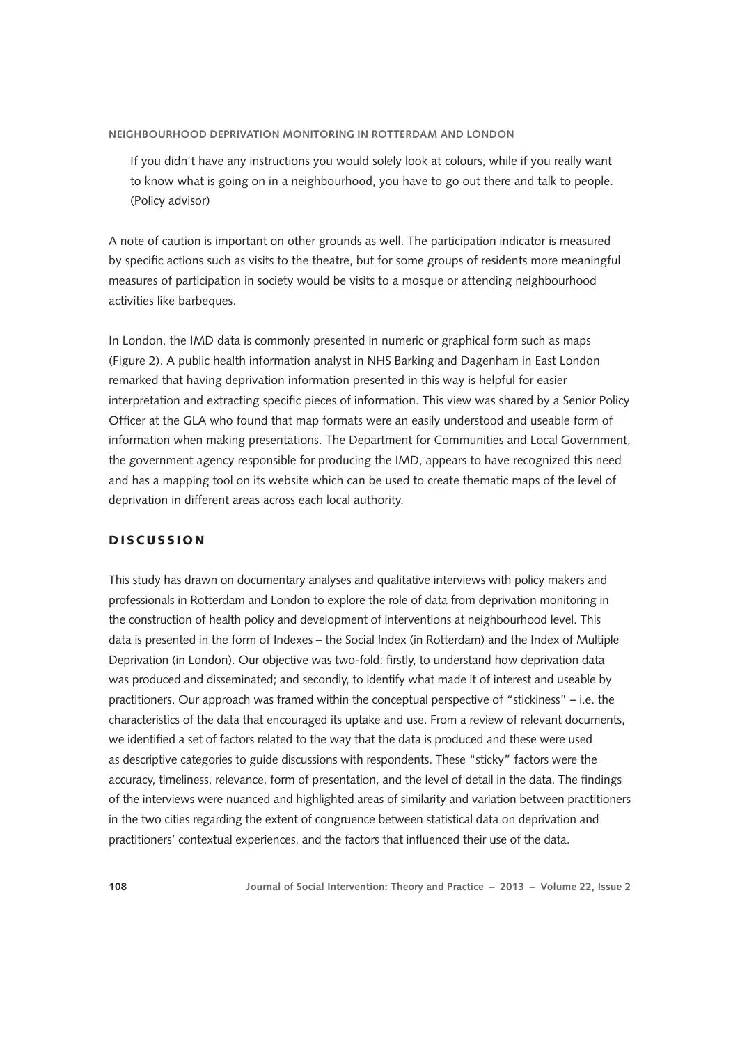If you didn't have any instructions you would solely look at colours, while if you really want to know what is going on in a neighbourhood, you have to go out there and talk to people. (Policy advisor)

A note of caution is important on other grounds as well. The participation indicator is measured by specific actions such as visits to the theatre, but for some groups of residents more meaningful measures of participation in society would be visits to a mosque or attending neighbourhood activities like barbeques.

In London, the IMD data is commonly presented in numeric or graphical form such as maps (Figure 2). A public health information analyst in NHS Barking and Dagenham in East London remarked that having deprivation information presented in this way is helpful for easier interpretation and extracting specific pieces of information. This view was shared by a Senior Policy Officer at the GLA who found that map formats were an easily understood and useable form of information when making presentations. The Department for Communities and Local Government, the government agency responsible for producing the IMD, appears to have recognized this need and has a mapping tool on its website which can be used to create thematic maps of the level of deprivation in different areas across each local authority.

#### DISCUSSION

This study has drawn on documentary analyses and qualitative interviews with policy makers and professionals in Rotterdam and London to explore the role of data from deprivation monitoring in the construction of health policy and development of interventions at neighbourhood level. This data is presented in the form of Indexes – the Social Index (in Rotterdam) and the Index of Multiple Deprivation (in London). Our objective was two-fold: firstly, to understand how deprivation data was produced and disseminated; and secondly, to identify what made it of interest and useable by practitioners. Our approach was framed within the conceptual perspective of "stickiness" – i.e. the characteristics of the data that encouraged its uptake and use. From a review of relevant documents, we identified a set of factors related to the way that the data is produced and these were used as descriptive categories to guide discussions with respondents. These "sticky" factors were the accuracy, timeliness, relevance, form of presentation, and the level of detail in the data. The findings of the interviews were nuanced and highlighted areas of similarity and variation between practitioners in the two cities regarding the extent of congruence between statistical data on deprivation and practitioners' contextual experiences, and the factors that influenced their use of the data.

**108 Journal of Social Intervention: Theory and Practice – 2013 – Volume 22, Issue 2**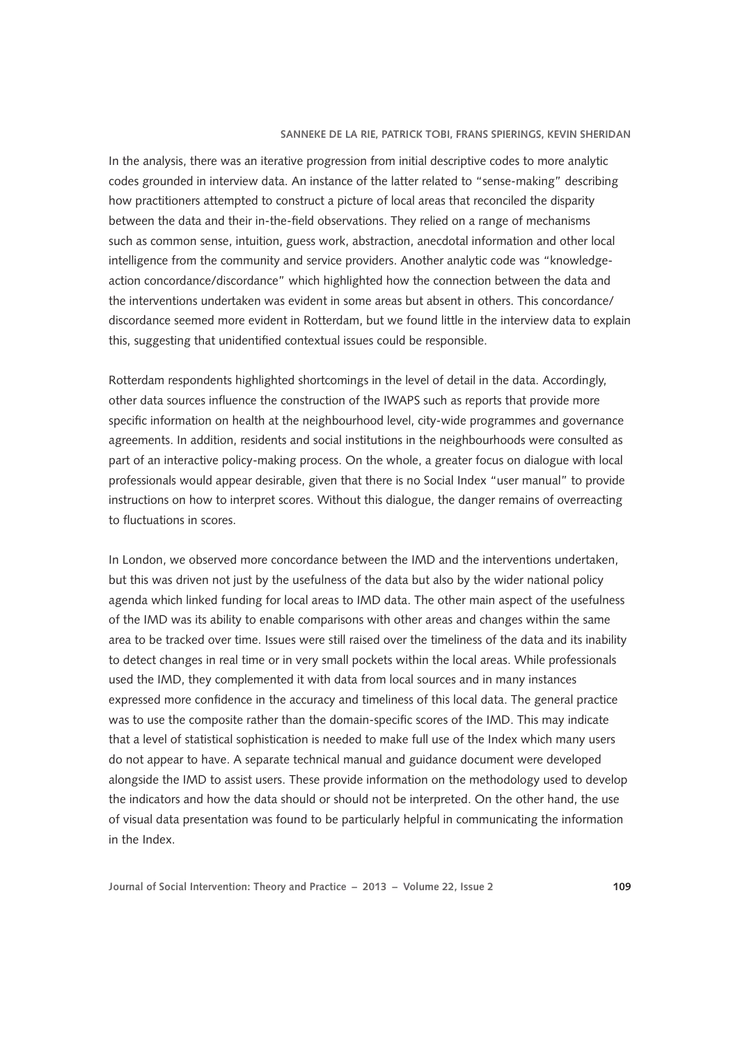In the analysis, there was an iterative progression from initial descriptive codes to more analytic codes grounded in interview data. An instance of the latter related to "sense-making" describing how practitioners attempted to construct a picture of local areas that reconciled the disparity between the data and their in-the-field observations. They relied on a range of mechanisms such as common sense, intuition, guess work, abstraction, anecdotal information and other local intelligence from the community and service providers. Another analytic code was "knowledgeaction concordance/discordance" which highlighted how the connection between the data and the interventions undertaken was evident in some areas but absent in others. This concordance/ discordance seemed more evident in Rotterdam, but we found little in the interview data to explain this, suggesting that unidentified contextual issues could be responsible.

Rotterdam respondents highlighted shortcomings in the level of detail in the data. Accordingly, other data sources influence the construction of the IWAPS such as reports that provide more specific information on health at the neighbourhood level, city-wide programmes and governance agreements. In addition, residents and social institutions in the neighbourhoods were consulted as part of an interactive policy-making process. On the whole, a greater focus on dialogue with local professionals would appear desirable, given that there is no Social Index "user manual" to provide instructions on how to interpret scores. Without this dialogue, the danger remains of overreacting to fluctuations in scores.

In London, we observed more concordance between the IMD and the interventions undertaken, but this was driven not just by the usefulness of the data but also by the wider national policy agenda which linked funding for local areas to IMD data. The other main aspect of the usefulness of the IMD was its ability to enable comparisons with other areas and changes within the same area to be tracked over time. Issues were still raised over the timeliness of the data and its inability to detect changes in real time or in very small pockets within the local areas. While professionals used the IMD, they complemented it with data from local sources and in many instances expressed more confidence in the accuracy and timeliness of this local data. The general practice was to use the composite rather than the domain-specific scores of the IMD. This may indicate that a level of statistical sophistication is needed to make full use of the Index which many users do not appear to have. A separate technical manual and guidance document were developed alongside the IMD to assist users. These provide information on the methodology used to develop the indicators and how the data should or should not be interpreted. On the other hand, the use of visual data presentation was found to be particularly helpful in communicating the information in the Index.

**Journal of Social Intervention: Theory and Practice – 2013 – Volume 22, Issue 2 109**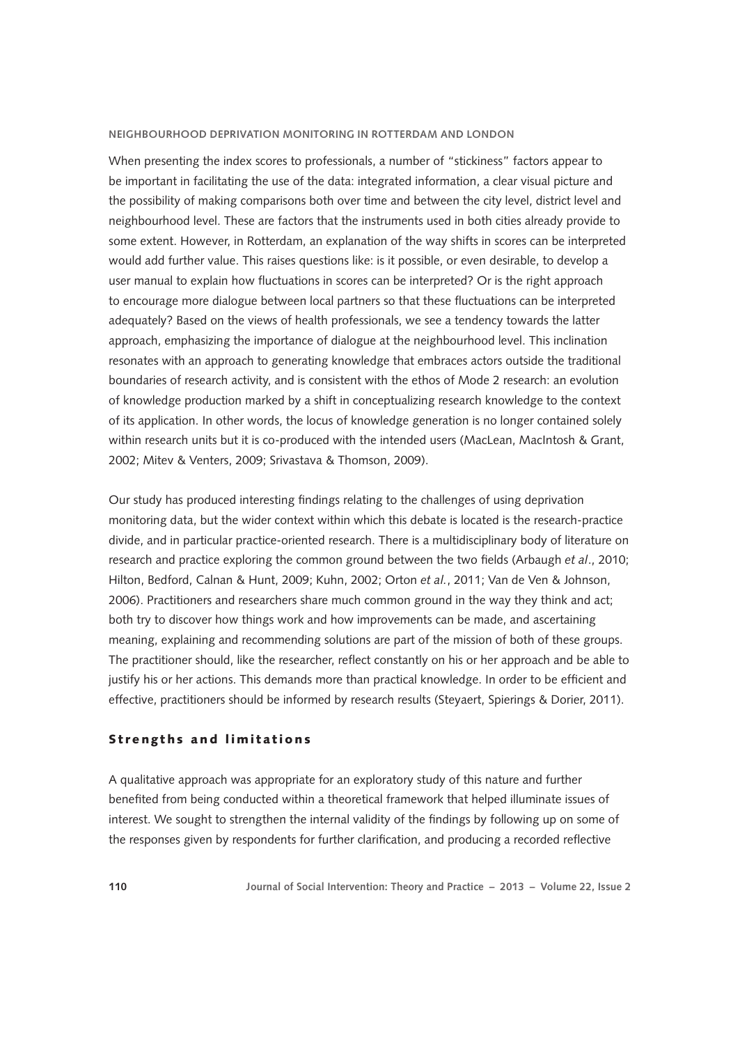When presenting the index scores to professionals, a number of "stickiness" factors appear to be important in facilitating the use of the data: integrated information, a clear visual picture and the possibility of making comparisons both over time and between the city level, district level and neighbourhood level. These are factors that the instruments used in both cities already provide to some extent. However, in Rotterdam, an explanation of the way shifts in scores can be interpreted would add further value. This raises questions like: is it possible, or even desirable, to develop a user manual to explain how fluctuations in scores can be interpreted? Or is the right approach to encourage more dialogue between local partners so that these fluctuations can be interpreted adequately? Based on the views of health professionals, we see a tendency towards the latter approach, emphasizing the importance of dialogue at the neighbourhood level. This inclination resonates with an approach to generating knowledge that embraces actors outside the traditional boundaries of research activity, and is consistent with the ethos of Mode 2 research: an evolution of knowledge production marked by a shift in conceptualizing research knowledge to the context of its application. In other words, the locus of knowledge generation is no longer contained solely within research units but it is co-produced with the intended users (MacLean, MacIntosh & Grant, 2002; Mitev & Venters, 2009; Srivastava & Thomson, 2009).

Our study has produced interesting findings relating to the challenges of using deprivation monitoring data, but the wider context within which this debate is located is the research-practice divide, and in particular practice-oriented research. There is a multidisciplinary body of literature on research and practice exploring the common ground between the two fields (Arbaugh *et al*., 2010; Hilton, Bedford, Calnan & Hunt, 2009; Kuhn, 2002; Orton *et al.*, 2011; Van de Ven & Johnson, 2006). Practitioners and researchers share much common ground in the way they think and act; both try to discover how things work and how improvements can be made, and ascertaining meaning, explaining and recommending solutions are part of the mission of both of these groups. The practitioner should, like the researcher, reflect constantly on his or her approach and be able to justify his or her actions. This demands more than practical knowledge. In order to be efficient and effective, practitioners should be informed by research results (Steyaert, Spierings & Dorier, 2011).

### S trengths and limitations

A qualitative approach was appropriate for an exploratory study of this nature and further benefited from being conducted within a theoretical framework that helped illuminate issues of interest. We sought to strengthen the internal validity of the findings by following up on some of the responses given by respondents for further clarification, and producing a recorded reflective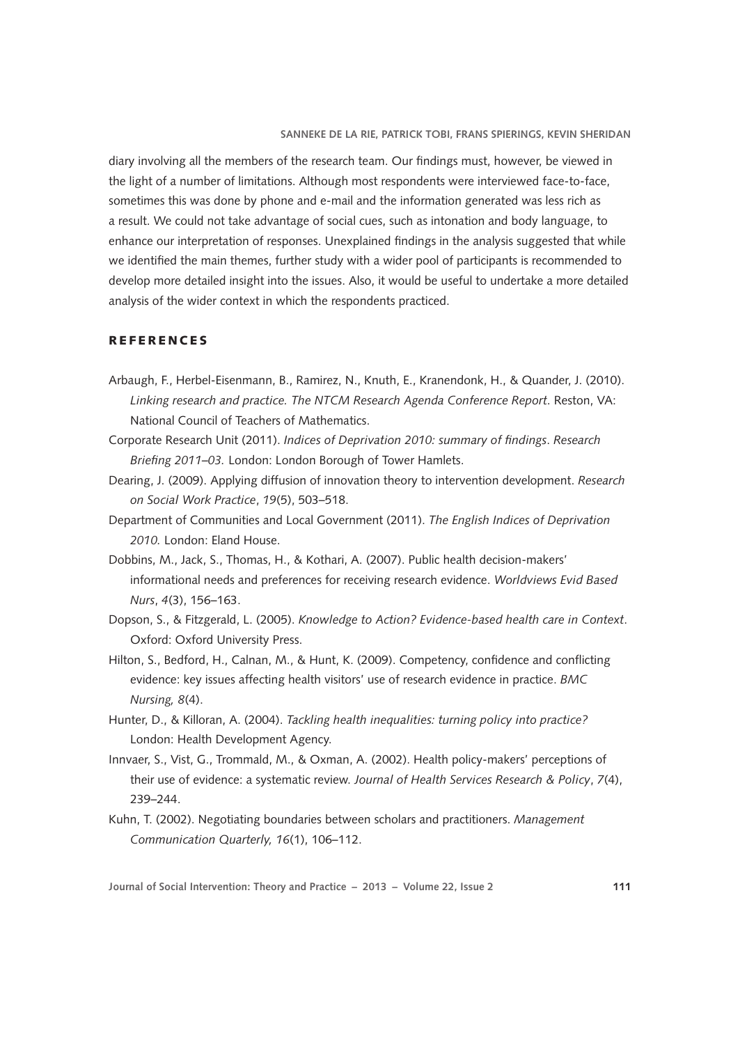diary involving all the members of the research team. Our findings must, however, be viewed in the light of a number of limitations. Although most respondents were interviewed face-to-face, sometimes this was done by phone and e-mail and the information generated was less rich as a result. We could not take advantage of social cues, such as intonation and body language, to enhance our interpretation of responses. Unexplained findings in the analysis suggested that while we identified the main themes, further study with a wider pool of participants is recommended to develop more detailed insight into the issues. Also, it would be useful to undertake a more detailed analysis of the wider context in which the respondents practiced.

### **REFERENCES**

- Arbaugh, F., Herbel-Eisenmann, B., Ramirez, N., Knuth, E., Kranendonk, H., & Quander, J. (2010). *Linking research and practice. The NTCM Research Agenda Conference Report*. Reston, VA: National Council of Teachers of Mathematics.
- Corporate Research Unit (2011). *Indices of Deprivation 2010: summary of findings*. *Research Briefing 2011–03.* London: London Borough of Tower Hamlets.
- Dearing, J. (2009). Applying diffusion of innovation theory to intervention development. *Research on Social Work Practice*, *19*(5), 503–518.
- Department of Communities and Local Government (2011). *The English Indices of Deprivation 2010.* London: Eland House.
- Dobbins, M., Jack, S., Thomas, H., & Kothari, A. (2007). Public health decision-makers' informational needs and preferences for receiving research evidence. *Worldviews Evid Based Nurs*, *4*(3), 156–163.
- Dopson, S., & Fitzgerald, L. (2005). *Knowledge to Action? Evidence-based health care in Context*. Oxford: Oxford University Press.
- Hilton, S., Bedford, H., Calnan, M., & Hunt, K. (2009). Competency, confidence and conflicting evidence: key issues affecting health visitors' use of research evidence in practice. *BMC Nursing, 8*(4).
- Hunter, D., & Killoran, A. (2004). *Tackling health inequalities: turning policy into practice?* London: Health Development Agency.
- Innvaer, S., Vist, G., Trommald, M., & Oxman, A. (2002). Health policy-makers' perceptions of their use of evidence: a systematic review. *Journal of Health Services Research & Policy*, *7*(4), 239–244.
- Kuhn, T. (2002). Negotiating boundaries between scholars and practitioners. *Management Communication Quarterly, 16*(1), 106–112.

**Journal of Social Intervention: Theory and Practice – 2013 – Volume 22, Issue 2 111**